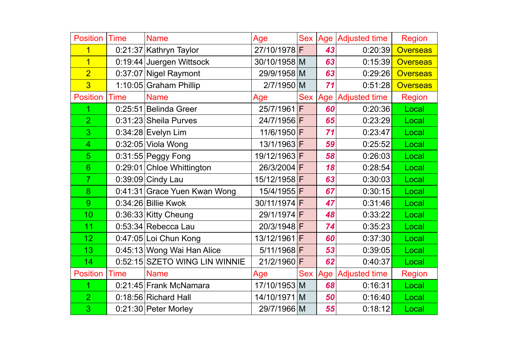| <b>Position</b> | <b>Time</b> | <b>Name</b>                   | Age          |            |     | Sex   Age   Adjusted time | <b>Region</b>   |
|-----------------|-------------|-------------------------------|--------------|------------|-----|---------------------------|-----------------|
| 1               |             | 0:21:37 Kathryn Taylor        | 27/10/1978F  |            | 43  | 0:20:39                   | <b>Overseas</b> |
| $\overline{1}$  |             | 0:19:44 Juergen Wittsock      | 30/10/1958 M |            | 63  | 0:15:39                   | <b>Overseas</b> |
| $\overline{2}$  |             | 0:37:07 Nigel Raymont         | 29/9/1958 M  |            | 63  | 0:29:26                   | <b>Overseas</b> |
| $\overline{3}$  |             | 1:10:05 Graham Phillip        | 2/7/1950 M   |            | 71  | 0:51:28                   | <b>Overseas</b> |
| <b>Position</b> | <b>Time</b> | <b>Name</b>                   | Age          | <b>Sex</b> | Age | <b>Adjusted time</b>      | Region          |
| 1               |             | 0:25:51 Belinda Greer         | 25/7/1961 F  |            | 60  | 0:20:36                   | Local           |
| $\overline{2}$  |             | $0:31:23$ Sheila Purves       | 24/7/1956 F  |            | 65  | 0:23:29                   | Local           |
| 3               |             | $0:34:28$ Evelyn Lim          | 11/6/1950 F  |            | 71  | 0:23:47                   | Local           |
| $\overline{4}$  |             | $0:32:05$ Viola Wong          | 13/1/1963 F  |            | 59  | 0:25:52                   | Local           |
| 5               |             | $0:31:55$ Peggy Fong          | 19/12/1963 F |            | 58  | 0:26:03                   | Local           |
| 6 <sup>°</sup>  |             | 0:29:01 Chloe Whittington     | 26/3/2004 F  |            | 18  | 0:28:54                   | Local           |
| $\overline{7}$  |             | $0:39:09$ Cindy Lau           | 15/12/1958 F |            | 63  | 0:30:03                   | Local           |
| 8               |             | 0:41:31 Grace Yuen Kwan Wong  | 15/4/1955 F  |            | 67  | 0:30:15                   | Local           |
| 9               |             | $0:34:26$ Billie Kwok         | 30/11/1974 F |            | 47  | 0:31:46                   | Local           |
| 10              |             | 0:36:33 Kitty Cheung          | 29/1/1974 F  |            | 48  | 0:33:22                   | Local           |
| 11              |             | $0:53:34$ Rebecca Lau         | 20/3/1948 F  |            | 74  | 0:35:23                   | Local           |
| 12              |             | 0:47:05 Loi Chun Kong         | 13/12/1961 F |            | 60  | 0:37:30                   | Local           |
| 13              |             | 0:45:13 Wong Wai Han Alice    | 5/11/1968 F  |            | 53  | 0:39:05                   | Local           |
| 14              |             | 0:52:15 SZETO WING LIN WINNIE | 21/2/1960 F  |            | 62  | 0:40:37                   | Local           |
| <b>Position</b> | <b>Time</b> | <b>Name</b>                   | Age          | Sex        | Age | <b>Adjusted time</b>      | <b>Region</b>   |
|                 |             | 0:21:45 Frank McNamara        | 17/10/1953 M |            | 68  | 0:16:31                   | Local           |
| $\overline{2}$  |             | 0:18:56 Richard Hall          | 14/10/1971 M |            | 50  | 0:16:40                   | Local           |
| 3               |             | $0:21:30$ Peter Morley        | 29/7/1966 M  |            | 55  | 0:18:12                   | Local           |